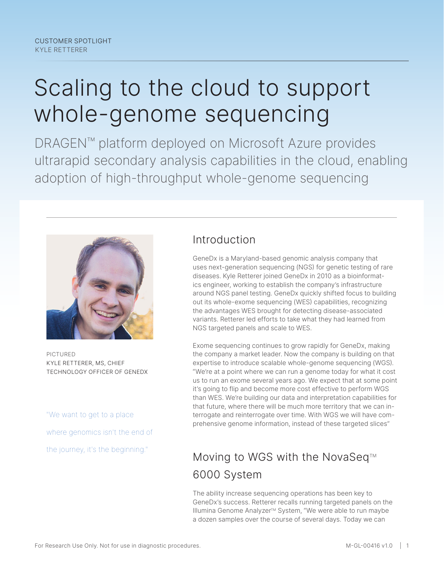# Scaling to the cloud to support whole-genome sequencing

DRAGEN™ platform deployed on Microsoft Azure provides ultrarapid secondary analysis capabilities in the cloud, enabling adoption of high-throughput whole-genome sequencing



PICTURED KYLE RETTERER, MS, CHIEF TECHNOLOGY OFFICER OF GENEDX

"We want to get to a place where genomics isn't the end of the journey, it's the beginning."

## Introduction

GeneDx is a Maryland-based genomic analysis company that uses next-generation sequencing (NGS) for genetic testing of rare diseases. Kyle Retterer joined GeneDx in 2010 as a bioinformatics engineer, working to establish the company's infrastructure around NGS panel testing. GeneDx quickly shifted focus to building out its whole-exome sequencing (WES) capabilities, recognizing the advantages WES brought for detecting disease-associated variants. Retterer led efforts to take what they had learned from NGS targeted panels and scale to WES.

Exome sequencing continues to grow rapidly for GeneDx, making the company a market leader. Now the company is building on that expertise to introduce scalable whole-genome sequencing (WGS). "We're at a point where we can run a genome today for what it cost us to run an exome several years ago. We expect that at some point it's going to flip and become more cost effective to perform WGS than WES. We're building our data and interpretation capabilities for that future, where there will be much more territory that we can interrogate and reinterrogate over time. With WGS we will have comprehensive genome information, instead of these targeted slices"

## Moving to WGS with the NovaSeq<sup>™</sup> 6000 System

The ability increase sequencing operations has been key to GeneDx's success. Retterer recalls running targeted panels on the Illumina Genome Analyzer™ System, "We were able to run maybe a dozen samples over the course of several days. Today we can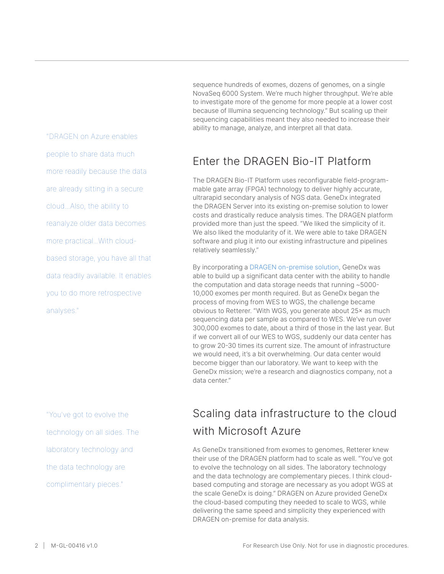"DRAGEN on Azure enables people to share data much more readily because the data are already sitting in a secure cloud...Also, the ability to reanalyze older data becomes more practical...With cloudbased storage, you have all that data readily available. It enables you to do more retrospective analyses."

"You've got to evolve the technology on all sides. The laboratory technology and the data technology are complimentary pieces."

sequence hundreds of exomes, dozens of genomes, on a single NovaSeq 6000 System. We're much higher throughput. We're able to investigate more of the genome for more people at a lower cost because of Illumina sequencing technology." But scaling up their sequencing capabilities meant they also needed to increase their ability to manage, analyze, and interpret all that data.

## Enter the DRAGEN Bio-IT Platform

The DRAGEN Bio-IT Platform uses reconfigurable field-programmable gate array (FPGA) technology to deliver highly accurate, ultrarapid secondary analysis of NGS data. GeneDx integrated the DRAGEN Server into its existing on-premise solution to lower costs and drastically reduce analysis times. The DRAGEN platform provided more than just the speed. "We liked the simplicity of it. We also liked the modularity of it. We were able to take DRAGEN software and plug it into our existing infrastructure and pipelines relatively seamlessly."

By incorporating a [DRAGEN on-premise solution](https://www.illumina.com/company/video-hub/bWtdRIHs0t8.html), GeneDx was able to build up a significant data center with the ability to handle the computation and data storage needs that running ~5000- 10,000 exomes per month required. But as GeneDx began the process of moving from WES to WGS, the challenge became obvious to Retterer. "With WGS, you generate about 25× as much sequencing data per sample as compared to WES. We've run over 300,000 exomes to date, about a third of those in the last year. But if we convert all of our WES to WGS, suddenly our data center has to grow 20-30 times its current size. The amount of infrastructure we would need, it's a bit overwhelming. Our data center would become bigger than our laboratory. We want to keep with the GeneDx mission; we're a research and diagnostics company, not a data center."

## Scaling data infrastructure to the cloud with Microsoft Azure

As GeneDx transitioned from exomes to genomes, Retterer knew their use of the DRAGEN platform had to scale as well. "You've got to evolve the technology on all sides. The laboratory technology and the data technology are complementary pieces. I think cloudbased computing and storage are necessary as you adopt WGS at the scale GeneDx is doing." DRAGEN on Azure provided GeneDx the cloud-based computing they needed to scale to WGS, while delivering the same speed and simplicity they experienced with DRAGEN on-premise for data analysis.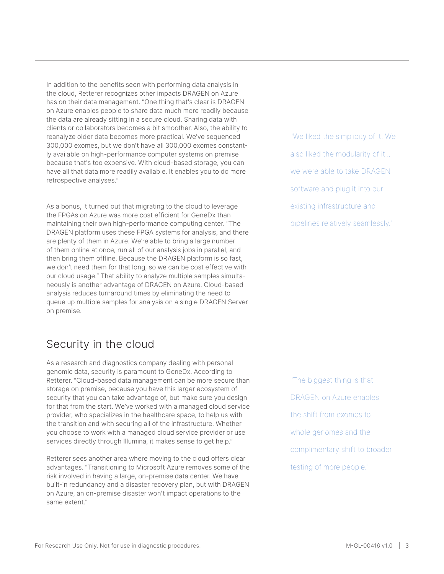In addition to the benefits seen with performing data analysis in the cloud, Retterer recognizes other impacts DRAGEN on Azure has on their data management. "One thing that's clear is DRAGEN on Azure enables people to share data much more readily because the data are already sitting in a secure cloud. Sharing data with clients or collaborators becomes a bit smoother. Also, the ability to reanalyze older data becomes more practical. We've sequenced 300,000 exomes, but we don't have all 300,000 exomes constantly available on high-performance computer systems on premise because that's too expensive. With cloud-based storage, you can have all that data more readily available. It enables you to do more retrospective analyses."

As a bonus, it turned out that migrating to the cloud to leverage the FPGAs on Azure was more cost efficient for GeneDx than maintaining their own high-performance computing center. "The DRAGEN platform uses these FPGA systems for analysis, and there are plenty of them in Azure. We're able to bring a large number of them online at once, run all of our analysis jobs in parallel, and then bring them offline. Because the DRAGEN platform is so fast, we don't need them for that long, so we can be cost effective with our cloud usage." That ability to analyze multiple samples simultaneously is another advantage of DRAGEN on Azure. Cloud-based analysis reduces turnaround times by eliminating the need to queue up multiple samples for analysis on a single DRAGEN Server on premise.

#### Security in the cloud

As a research and diagnostics company dealing with personal genomic data, security is paramount to GeneDx. According to Retterer. "Cloud-based data management can be more secure than storage on premise, because you have this larger ecosystem of security that you can take advantage of, but make sure you design for that from the start. We've worked with a managed cloud service provider, who specializes in the healthcare space, to help us with the transition and with securing all of the infrastructure. Whether you choose to work with a managed cloud service provider or use services directly through Illumina, it makes sense to get help."

Retterer sees another area where moving to the cloud offers clear advantages. "Transitioning to Microsoft Azure removes some of the risk involved in having a large, on-premise data center. We have built-in redundancy and a disaster recovery plan, but with DRAGEN on Azure, an on-premise disaster won't impact operations to the same extent."

"We liked the simplicity of it. We also liked the modularity of it... we were able to take DRAGEN software and plug it into our existing infrastructure and pipelines relatively seamlessly."

"The biggest thing is that DRAGEN on Azure enables the shift from exomes to whole genomes and the complimentary shift to broader testing of more people."